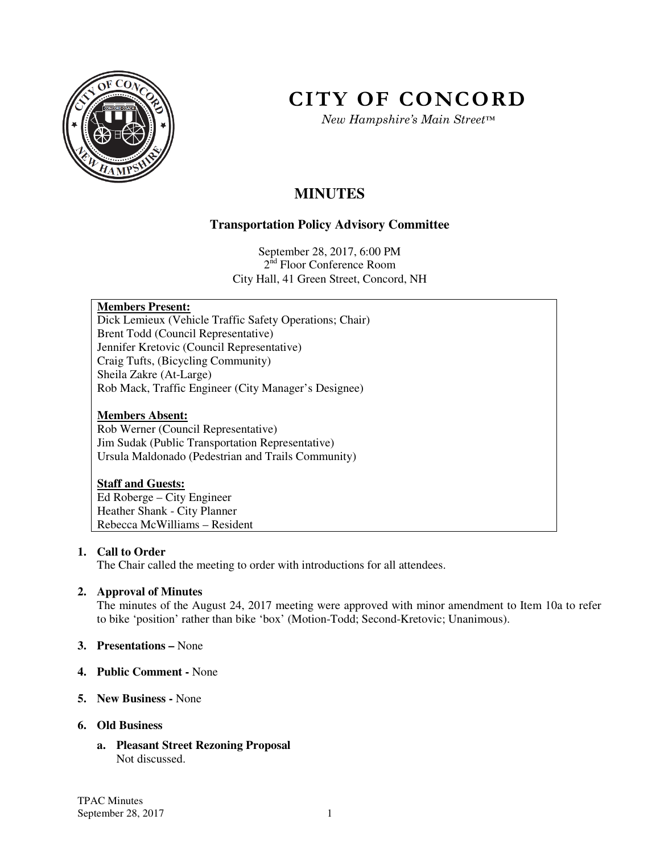

# **CITY OF CONCORD**

*New Hampshire's Main Street™*

# **MINUTES**

# **Transportation Policy Advisory Committee**

September 28, 2017, 6:00 PM  $2^{\overline{\text{nd}}}$  Floor Conference Room City Hall, 41 Green Street, Concord, NH

# **Members Present:**

Dick Lemieux (Vehicle Traffic Safety Operations; Chair) Brent Todd (Council Representative) Jennifer Kretovic (Council Representative) Craig Tufts, (Bicycling Community) Sheila Zakre (At-Large) Rob Mack, Traffic Engineer (City Manager's Designee)

#### **Members Absent:**

Rob Werner (Council Representative) Jim Sudak (Public Transportation Representative) Ursula Maldonado (Pedestrian and Trails Community)

#### **Staff and Guests:**

Ed Roberge – City Engineer Heather Shank - City Planner Rebecca McWilliams – Resident

# **1. Call to Order**

The Chair called the meeting to order with introductions for all attendees.

# **2. Approval of Minutes**

The minutes of the August 24, 2017 meeting were approved with minor amendment to Item 10a to refer to bike 'position' rather than bike 'box' (Motion-Todd; Second-Kretovic; Unanimous).

- **3. Presentations** None
- **4. Public Comment** None
- **5. New Business** None

#### **6. Old Business**

**a. Pleasant Street Rezoning Proposal**  Not discussed.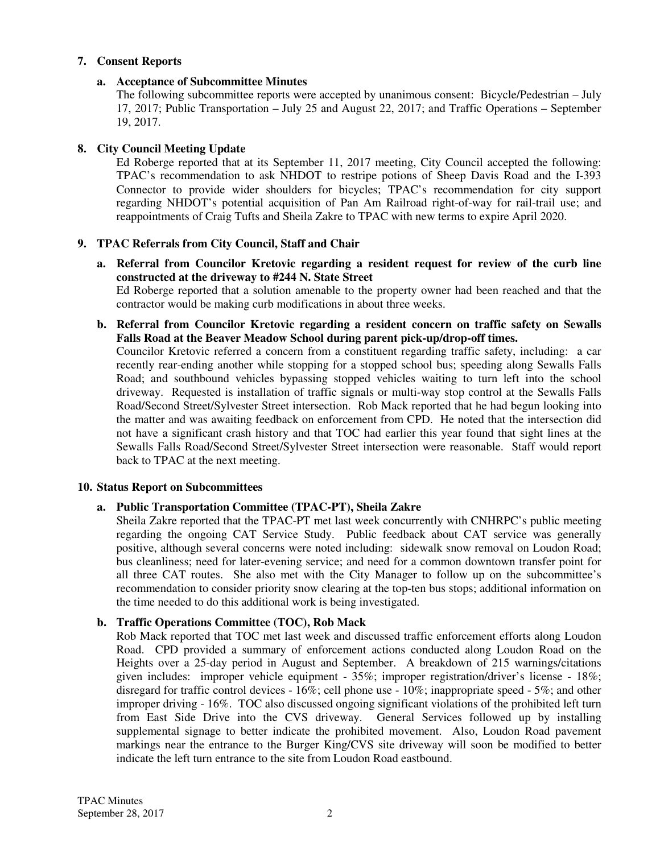#### **7. Consent Reports**

## **a. Acceptance of Subcommittee Minutes**

The following subcommittee reports were accepted by unanimous consent: Bicycle/Pedestrian – July 17, 2017; Public Transportation – July 25 and August 22, 2017; and Traffic Operations – September 19, 2017.

# **8. City Council Meeting Update**

Ed Roberge reported that at its September 11, 2017 meeting, City Council accepted the following: TPAC's recommendation to ask NHDOT to restripe potions of Sheep Davis Road and the I-393 Connector to provide wider shoulders for bicycles; TPAC's recommendation for city support regarding NHDOT's potential acquisition of Pan Am Railroad right-of-way for rail-trail use; and reappointments of Craig Tufts and Sheila Zakre to TPAC with new terms to expire April 2020.

# **9. TPAC Referrals from City Council, Staff and Chair**

**a. Referral from Councilor Kretovic regarding a resident request for review of the curb line constructed at the driveway to #244 N. State Street**

Ed Roberge reported that a solution amenable to the property owner had been reached and that the contractor would be making curb modifications in about three weeks.

**b. Referral from Councilor Kretovic regarding a resident concern on traffic safety on Sewalls Falls Road at the Beaver Meadow School during parent pick-up/drop-off times.** 

Councilor Kretovic referred a concern from a constituent regarding traffic safety, including: a car recently rear-ending another while stopping for a stopped school bus; speeding along Sewalls Falls Road; and southbound vehicles bypassing stopped vehicles waiting to turn left into the school driveway. Requested is installation of traffic signals or multi-way stop control at the Sewalls Falls Road/Second Street/Sylvester Street intersection. Rob Mack reported that he had begun looking into the matter and was awaiting feedback on enforcement from CPD. He noted that the intersection did not have a significant crash history and that TOC had earlier this year found that sight lines at the Sewalls Falls Road/Second Street/Sylvester Street intersection were reasonable. Staff would report back to TPAC at the next meeting.

#### **10. Status Report on Subcommittees**

#### **a. Public Transportation Committee (TPAC-PT), Sheila Zakre**

Sheila Zakre reported that the TPAC-PT met last week concurrently with CNHRPC's public meeting regarding the ongoing CAT Service Study. Public feedback about CAT service was generally positive, although several concerns were noted including: sidewalk snow removal on Loudon Road; bus cleanliness; need for later-evening service; and need for a common downtown transfer point for all three CAT routes. She also met with the City Manager to follow up on the subcommittee's recommendation to consider priority snow clearing at the top-ten bus stops; additional information on the time needed to do this additional work is being investigated.

#### **b. Traffic Operations Committee (TOC), Rob Mack**

Rob Mack reported that TOC met last week and discussed traffic enforcement efforts along Loudon Road. CPD provided a summary of enforcement actions conducted along Loudon Road on the Heights over a 25-day period in August and September. A breakdown of 215 warnings/citations given includes: improper vehicle equipment - 35%; improper registration/driver's license - 18%; disregard for traffic control devices - 16%; cell phone use - 10%; inappropriate speed - 5%; and other improper driving - 16%. TOC also discussed ongoing significant violations of the prohibited left turn from East Side Drive into the CVS driveway. General Services followed up by installing supplemental signage to better indicate the prohibited movement. Also, Loudon Road pavement markings near the entrance to the Burger King/CVS site driveway will soon be modified to better indicate the left turn entrance to the site from Loudon Road eastbound.